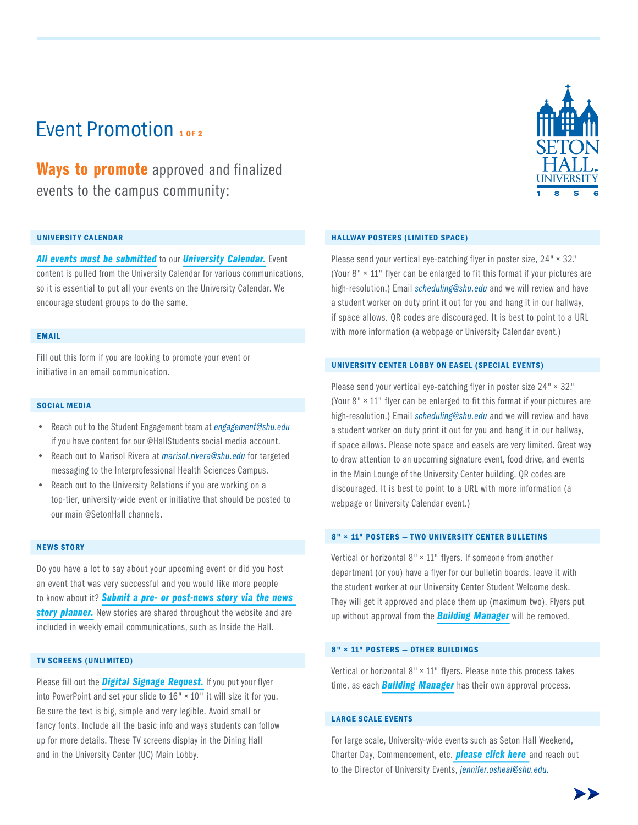# Event Promotion 10E2

**Ways to promote** approved and finalized events to the campus community:

### UNIVERSITY CALENDAR

*All events must be submitted* to our *University Calendar.* Event content is pulled from the University Calendar for various communications, so it is essential to put all your events on the University Calendar. We encourage student groups to do the same.

### EMAIL

Fill out this form if you are looking to promote your event or initiative in an email communication.

### SOCIAL MEDIA

- Reach out to the Student Engagement team at *engagement@shu.edu* if you have content for our @HallStudents social media account.
- Reach out to Marisol Rivera at *marisol.rivera@shu.edu* for targeted messaging to the Interprofessional Health Sciences Campus.
- Reach out to the University Relations if you are working on a top-tier, university-wide event or initiative that should be posted to our main @SetonHall channels.

### NEWS STORY

Do you have a lot to say about your upcoming event or did you host an event that was very successful and you would like more people to know about it? *Submit a pre- or post-news story via the news*  **story planner.** New stories are shared throughout the website and are included in weekly email communications, such as Inside the Hall.

### **TV SCREENS (UNLIMITED)**

Please fill out the **Digital Signage Request**. If you put your flyer into PowerPoint and set your slide to  $16" \times 10"$  it will size it for you. Be sure the text is big, simple and very legible. Avoid small or fancy fonts. Include all the basic info and ways students can follow up for more details. These TV screens display in the Dining Hall and in the University Center (UC) Main Lobby.

### HALLWAY POSTERS (LIMITED SPACE)

Please send your vertical eye-catching flyer in poster size,  $24" \times 32$ ." (Your  $8" \times 11"$  flyer can be enlarged to fit this format if your pictures are high-resolution.) Email *scheduling@shu.edu* and we will review and have a student worker on duty print it out for you and hang it in our hallway, if space allows. QR codes are discouraged. It is best to point to a URL with more information (a webpage or University Calendar event.)

### UNIVERSITY CENTER LOBBY ON EASEL (SPECIAL EVENTS)

Please send your vertical eye-catching flyer in poster size  $24" \times 32$ ." (Your  $8'' \times 11''$  flyer can be enlarged to fit this format if your pictures are high-resolution.) Email *scheduling@shu.edu* and we will review and have a student worker on duty print it out for you and hang it in our hallway, if space allows. Please note space and easels are very limited. Great way to draw attention to an upcoming signature event, food drive, and events in the Main Lounge of the University Center building. QR codes are discouraged. It is best to point to a URL with more information (a webpage or University Calendar event.)

### 8" × 11" POSTERS - TWO UNIVERSITY CENTER BULLETINS

Vertical or horizontal  $8" \times 11"$  flyers. If someone from another department (or you) have a flyer for our bulletin boards, leave it with the student worker at our University Center Student Welcome desk. They will get it approved and place them up (maximum two). Flyers put up without approval from the *Building Manager* will be removed.

### 8" × 11" POSTERS - OTHER BUILDINGS

Vertical or horizontal  $8" \times 11"$  flyers. Please note this process takes time, as each *Building Manager* has their own approval process.

### **LARGE SCALE EVENTS**

For large scale, University-wide events such as Seton Hall Weekend, Charter Day, Commencement, etc. *please click here* and reach out to the Director of University Events, *jennifer.osheal@shu.edu.*